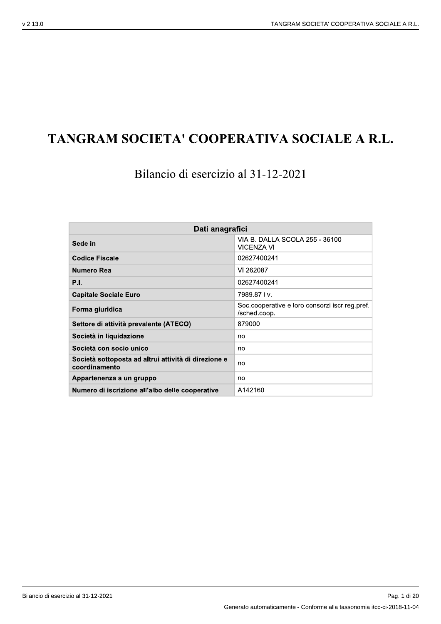# TANGRAM SOCIETA' COOPERATIVA SOCIALE A R.L.

Bilancio di esercizio al 31-12-2021

| Dati anagrafici                                                       |                                                                |  |  |  |
|-----------------------------------------------------------------------|----------------------------------------------------------------|--|--|--|
| Sede in                                                               | VIA B. DALLA SCOLA 255 - 36100<br><b>VICENZA VI</b>            |  |  |  |
| <b>Codice Fiscale</b>                                                 | 02627400241                                                    |  |  |  |
| Numero Rea                                                            | VI 262087                                                      |  |  |  |
| <b>P.I.</b>                                                           | 02627400241                                                    |  |  |  |
| <b>Capitale Sociale Euro</b>                                          | 7989.87 i.v.                                                   |  |  |  |
| Forma giuridica                                                       | Soc.cooperative e loro consorzi iscr.reg.pref.<br>/sched.coop. |  |  |  |
| Settore di attività prevalente (ATECO)                                | 879000                                                         |  |  |  |
| Società in liquidazione                                               | no                                                             |  |  |  |
| Società con socio unico                                               | no                                                             |  |  |  |
| Società sottoposta ad altrui attività di direzione e<br>coordinamento | no                                                             |  |  |  |
| Appartenenza a un gruppo                                              | no                                                             |  |  |  |
| Numero di iscrizione all'albo delle cooperative                       | A142160                                                        |  |  |  |

Bilancio di esercizio al 31-12-2021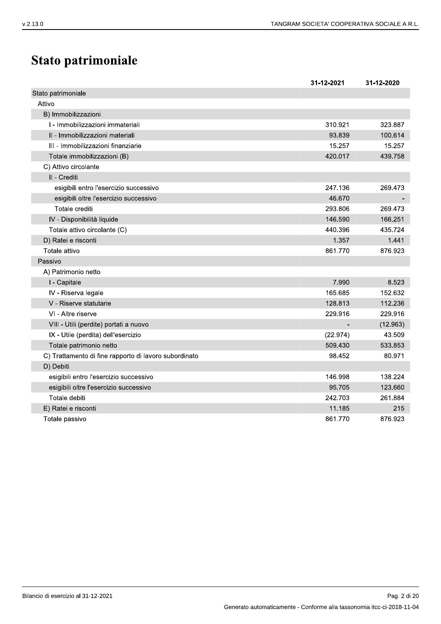# Stato patrimoniale

|                                                       | 31-12-2021 | 31-12-2020 |
|-------------------------------------------------------|------------|------------|
| Stato patrimoniale                                    |            |            |
| Attivo                                                |            |            |
| B) Immobilizzazioni                                   |            |            |
| I - Immobilizzazioni immateriali                      | 310.921    | 323.887    |
| II - Immobilizzazioni materiali                       | 93.839     | 100.614    |
| III - Immobilizzazioni finanziarie                    | 15.257     | 15.257     |
| Totale immobilizzazioni (B)                           | 420.017    | 439.758    |
| C) Attivo circolante                                  |            |            |
| II - Crediti                                          |            |            |
| esigibili entro l'esercizio successivo                | 247.136    | 269.473    |
| esigibili oltre l'esercizio successivo                | 46.670     |            |
| Totale crediti                                        | 293.806    | 269.473    |
| IV - Disponibilità liquide                            | 146.590    | 166.251    |
| Totale attivo circolante (C)                          | 440.396    | 435.724    |
| D) Ratei e risconti                                   | 1.357      | 1.441      |
| Totale attivo                                         | 861.770    | 876.923    |
| Passivo                                               |            |            |
| A) Patrimonio netto                                   |            |            |
| I - Capitale                                          | 7.990      | 8.523      |
| IV - Riserva legale                                   | 165.685    | 152.632    |
| V - Riserve statutarie                                | 128.813    | 112.236    |
| VI - Altre riserve                                    | 229.916    | 229.916    |
| VIII - Utili (perdite) portati a nuovo                |            | (12.963)   |
| IX - Utile (perdita) dell'esercizio                   | (22.974)   | 43.509     |
| Totale patrimonio netto                               | 509.430    | 533.853    |
| C) Trattamento di fine rapporto di lavoro subordinato | 98.452     | 80.971     |
| D) Debiti                                             |            |            |
| esigibili entro l'esercizio successivo                | 146.998    | 138.224    |
| esigibili oltre l'esercizio successivo                | 95.705     | 123.660    |
| Totale debiti                                         | 242.703    | 261.884    |
| E) Ratei e risconti                                   | 11.185     | 215        |
| Totale passivo                                        | 861.770    | 876.923    |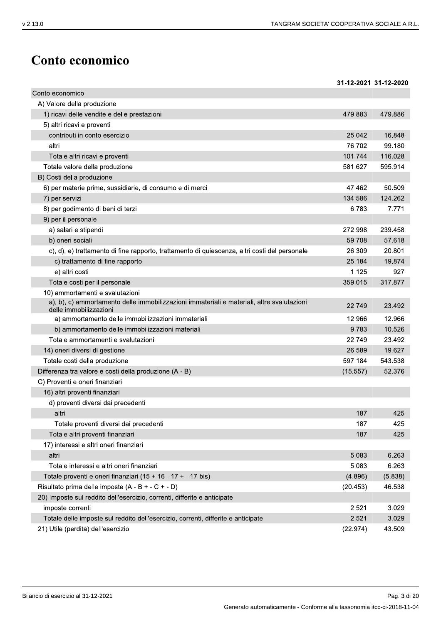31-12-2021 31-12-2020

# Conto economico

Conto economico A) Valore della produzione 479.883 479.886 1) ricavi delle vendite e delle prestazioni 5) altri ricavi e proventi contributi in conto esercizio 25.042 16.848 76.702 99.180 altri Totale altri ricavi e proventi 101.744 116.028 Totale valore della produzione 581.627 595.914 B) Costi della produzione 6) per materie prime, sussidiarie, di consumo e di merci 47.462 50.509 134.586 124.262 7) per servizi 8) per godimento di beni di terzi 6.783 7 7 7 1 9) per il personale 239.458 a) salari e stipendi 272.998 b) oneri sociali 59.708 57.618 26.309 20.801 c), d), e) trattamento di fine rapporto, trattamento di quiescenza, altri costi del personale c) trattamento di fine rapporto 25.184 19.874 e) altri costi 1.125 927 359.015 Totale costi per il personale 317.877 10) ammortamenti e svalutazioni a), b), c) ammortamento delle immobilizzazioni immateriali e materiali, altre svalutazioni 22.749 23.492 delle immobilizzazioni a) ammortamento delle immobilizzazioni immateriali 12.966 12.966 b) ammortamento delle immobilizzazioni materiali 9.783 10.526 Totale ammortamenti e svalutazioni 22.749 23.492 26.589 19.627 14) oneri diversi di gestione Totale costi della produzione 597.184 543.538 Differenza tra valore e costi della produzione (A - B)  $(15.557)$ 52.376 C) Proventi e oneri finanziari 16) altri proventi finanziari d) proventi diversi dai precedenti 425 altri 187 Totale proventi diversi dai precedenti 187 425 Totale altri proventi finanziari 187 425 17) interessi e altri oneri finanziari altri 5.083 6.263 5.083 Totale interessi e altri oneri finanziari 6.263 Totale proventi e oneri finanziari (15 + 16 - 17 + - 17-bis)  $(4.896)$  $(5.838)$ Risultato prima delle imposte  $(A - B + - C + - D)$  $(20.453)$ 46.538 20) Imposte sul reddito dell'esercizio, correnti, differite e anticipate 2.521 3.029 imposte correnti Totale delle imposte sul reddito dell'esercizio, correnti, differite e anticipate 2.521 3.029 21) Utile (perdita) dell'esercizio  $(22.974)$ 43.509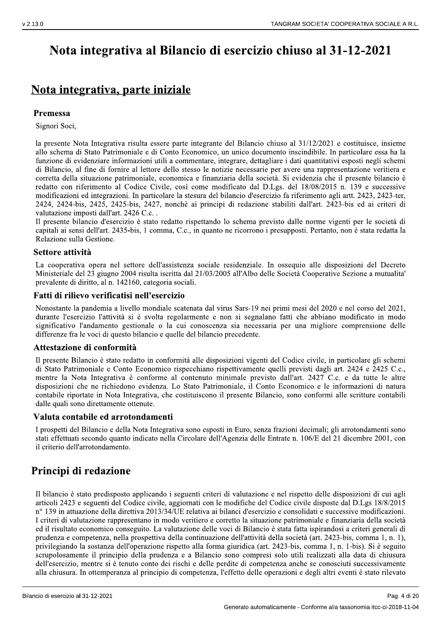# Nota integrativa al Bilancio di esercizio chiuso al 31-12-2021

# Nota integrativa, parte iniziale

### Premessa

Signori Soci,

la presente Nota Integrativa risulta essere parte integrante del Bilancio chiuso al 31/12/2021 e costituisce, insieme allo schema di Stato Patrimoniale e di Conto Economico, un unico documento inscindibile. In particolare essa ha la funzione di evidenziare informazioni utili a commentare, integrare, dettagliare i dati quantitativi esposti negli schemi di Bilancio, al fine di fornire al lettore dello stesso le notizie necessarie per avere una rappresentazione veritiera e corretta della situazione patrimoniale, economica e finanziaria della società. Si evidenzia che il presente bilancio è redatto con riferimento al Codice Civile, così come modificato dal D.Lgs. del 18/08/2015 n. 139 e successive modificazioni ed integrazioni. In particolare la stesura del bilancio d'esercizio fa riferimento agli artt. 2423, 2423-ter. 2424, 2424-bis, 2425, 2425-bis, 2427, nonchè ai principi di redazione stabiliti dall'art. 2423-bis ed ai criteri di valutazione imposti dall'art. 2426 C.c..

Il presente bilancio d'esercizio è stato redatto rispettando lo schema previsto dalle norme vigenti per le società di capitali ai sensi dell'art. 2435-bis, 1 comma, C.c., in quanto ne ricorrono i presupposti. Pertanto, non è stata redatta la Relazione sulla Gestione.

### Settore attività

La cooperativa opera nel settore dell'assistenza sociale residenziale. In ossequio alle disposizioni del Decreto Ministeriale del 23 giugno 2004 risulta iscritta dal 21/03/2005 all'Albo delle Società Cooperative Sezione a mutualita' prevalente di diritto, al n. 142160, categoria sociali.

#### Fatti di rilievo verificatisi nell'esercizio

Nonostante la pandemia a livello mondiale scatenata dal virus Sars-19 nei primi mesi del 2020 e nel corso del 2021, durante l'esercizio l'attività si è svolta regolarmente e non si segnalano fatti che abbiano modificato in modo significativo l'andamento gestionale o la cui conoscenza sia necessaria per una migliore comprensione delle differenze fra le voci di questo bilancio e quelle del bilancio precedente.

#### Attestazione di conformità

Il presente Bilancio è stato redatto in conformità alle disposizioni vigenti del Codice civile, in particolare gli schemi di Stato Patrimoniale e Conto Economico rispecchiano rispettivamente quelli previsti dagli art. 2424 e 2425 C.c., mentre la Nota Integrativa è conforme al contenuto minimale previsto dall'art. 2427 C.c. e da tutte le altre disposizioni che ne richiedono evidenza. Lo Stato Patrimoniale, il Conto Economico e le informazioni di natura contabile riportate in Nota Integrativa, che costituiscono il presente Bilancio, sono conformi alle scritture contabili dalle quali sono direttamente ottenute.

#### Valuta contabile ed arrotondamenti

I prospetti del Bilancio e della Nota Integrativa sono esposti in Euro, senza frazioni decimali; gli arrotondamenti sono stati effettuati secondo quanto indicato nella Circolare dell'Agenzia delle Entrate n. 106/E del 21 dicembre 2001, con il criterio dell'arrotondamento.

### Principi di redazione

Il bilancio è stato predisposto applicando i seguenti criteri di valutazione e nel rispetto delle disposizioni di cui agli articoli 2423 e seguenti del Codice civile, aggiornati con le modifiche del Codice civile disposte dal D.Lgs 18/8/2015 nº 139 in attuazione della direttiva 2013/34/UE relativa ai bilanci d'esercizio e consolidati e successive modificazioni. I criteri di valutazione rappresentano in modo veritiero e corretto la situazione patrimoniale e finanziaria della società ed il risultato economico conseguito. La valutazione delle voci di Bilancio è stata fatta ispirandosi a criteri generali di prudenza e competenza, nella prospettiva della continuazione dell'attività della società (art. 2423-bis, comma 1, n. 1), privilegiando la sostanza dell'operazione rispetto alla forma giuridica (art. 2423-bis, comma 1, n. 1-bis). Si è seguito scrupolosamente il principio della prudenza e a Bilancio sono compresi solo utili realizzati alla data di chiusura dell'esercizio, mentre si è tenuto conto dei rischi e delle perdite di competenza anche se conosciuti successivamente alla chiusura. In ottemperanza al principio di competenza, l'effetto delle operazioni e degli altri eventi è stato rilevato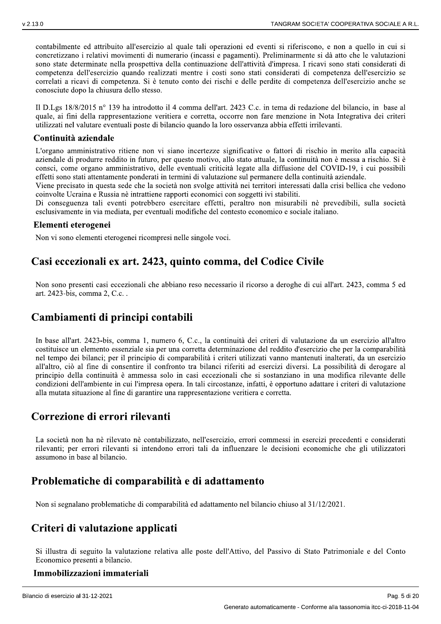$\frac{1}{2}$  contabilmente ed attribuito all'esercizio al quale tali operazioni ed eventi si riferiscono, e non a quello in cui si concretizzano i relativi movimenti di numerario (incassi e pagamenti). Preliminarmente si da atto che le valutazioni sono state determinate nella prospettiva della continuazione dell'attività d'impresa. I ricavi sono stati considerati di competenza dell'esercizio quando realizzati mentre i costi sono stati considerati di competenza dell'esercizio se correlati a ricavi di competenza. Si è tenuto conto dei rischi è delle perdite di competenza dell'esercizio anche se conosciute dopo la chiusura dello stesso. contabilmente ed attribuito all'esercizio a<br>concretizzano i relativi movimenti di num<br>sono state determinate nella prospettiva d<br>competenza dell'esercizio quando realizza<br>correlati a ricavi di competenza. Si è ten<br>conosci

Il D. Lgs  $18/8/2015$  n° 139 ha introdotto il 4 comma dell'art. 2423 C.c. in tema di redazione del bilancio, in base al quale, al fini della rappresentazione veritiera e corretta, occorre non fare menzione in Nota Integrativa dei criteri utilizzati nel valutare eventuali poste di bilancio quando la loro osservanza abbia effetti irrilevanti.

#### Continuità aziendale

L'organo amministrativo ritiene non vi siano incertezze significative o fattori di rischio in merito alla capacita aziendale di produrre reddito in futuro, per questo motivo, allo stato attuale, la continuita non è messa a rischio. Si e consci, come organo amministrativo, delle eventuali criticità legate alla diffusione del COVID-19, i cui possibili effetti sono stati attentamente ponderati in termini di valutazione sul permanere della continuita aziendale.

Viene precisato in questa sede che la societa non svolge attivita nei territori interessati dalla crisi bellica che vedono - >- ? - - -  - - 

coinvolte Ucraina e Russia ne intrattiene rapporti economici con soggetti ivi stabiliti.<br>Di conseguenza tali eventi potrebbero esercitare effetti, peraltro non misurabili nè prevedibili, sulla società esclusivamente in via mediata, per eventuali modifiche del contesto economico e sociale italiano.

#### Elementi eterogenei

Non vi sono elementi eterogenei ricompresi nelle singole voci.

### Casi eccezionali ex art. 2423, quinto comma, del Codice Civile

Non sono presenti casi eccezionali che abbiano reso necessario il ricorso a deroghe di cui all'art. 2423, comma 5 ed art. 2423-bis, comma 2, C.c. .

### Cambiamenti di principi contabili

italiano.<br>
ile<br>
cui all'art. 2423, comma 5 ed<br>
ione da un esercizio all'altro<br>
cizio che per la comparabilità<br>
uti inalterati, da un esercizio In base all'art. 2423-bis, comma 1, numero 6, C.c., la continuita dei criteri di valutazione da un esercizio all'altro costituisce un elemento essenziale sia per una corretta determinazione del reddito d'esercizio che per la comparabilità nel tempo dei bilanci; per il principio di comparabilità i criteri utilizzati vanno mantenuti inalterati, da un esercizio all'altro, ciò al fine di consentire il confronto tra bilanci riferiti ad esercizi diversi. La possibilità di derogare al principio della continuità e ammessa solo in casi eccezionali che si sostanziano in una modifica rilevante delle condizioni dell'ambiente in cui l'impresa opera. In tali circostanze, infatti, e opportuno adattare i criteri di valutazione alla mutata situazione al fine di garantire una rappresentazione veritiera e corretta.

### Correzione di errori rilevanti

La società non ha ne rilevato ne contabilizzato, nell'esercizio, errori commessi in esercizi precedenti e considerati rilevanti; per errori rilevanti si intendono errori tali da influenzare le decisioni economiche che gli utilizzatori assumono in base al bilancio.

### Problematiche di comparabilità e di adattamento

Non si segnalano problematiche di comparabilità ed adattamento nel bilancio chiuso al 31/12/2021.

### Criteri di valutazione applicati

Si illustra di seguito la valutazione relativa alle poste dell'Attivo, del Passivo di Stato Patrimoniale e del Conto Economico presenti a bilancio.

#### Immobilizzazioni immateriali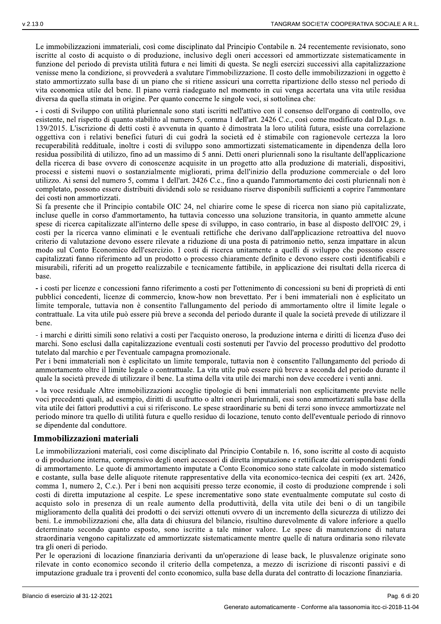Le immobilizzazioni immateriali, così come disciplinato dal Principio Contabile n. 24 recentemente revisionato, sono iscritte al costo di acquisto o di produzione, inclusivo degli oneri accessori ed ammortizzate sistematicamente in funzione del periodo di prevista utilità futura e nei limiti di questa. Se negli esercizi successivi alla capitalizzazione venisse meno la condizione, si provvederà a svalutare l'immobilizzazione. Il costo delle immobilizzazioni in oggetto è stato ammortizzato sulla base di un piano che si ritiene assicuri una corretta ripartizione dello stesso nel periodo di vita economica utile del bene. Il piano verrà riadeguato nel momento in cui venga accertata una vita utile residua diversa da quella stimata in origine. Per quanto concerne le singole voci, si sottolinea che:

- i costi di Sviluppo con utilità pluriennale sono stati iscritti nell'attivo con il consenso dell'organo di controllo, ove esistente, nel rispetto di quanto stabilito al numero 5, comma 1 dell'art. 2426 C.c., così come modificato dal D.Lgs. n. 139/2015. L'iscrizione di detti costi è avvenuta in quanto è dimostrata la loro utilità futura, esiste una correlazione oggettiva con i relativi benefici futuri di cui godrà la società ed è stimabile con ragionevole certezza la loro recuperabilità reddituale, inoltre i costi di sviluppo sono ammortizzati sistematicamente in dipendenza della loro residua possibilità di utilizzo, fino ad un massimo di 5 anni. Detti oneri pluriennali sono la risultante dell'applicazione della ricerca di base ovvero di conoscenze acquisite in un progetto atto alla produzione di materiali, dispositivi, processi e sistemi nuovi o sostanzialmente migliorati, prima dell'inizio della produzione commerciale o del loro utilizzo. Ai sensi del numero 5, comma 1 dell'art. 2426 C.c., fino a quando l'ammortamento dei costi pluriennali non è completato, possono essere distribuiti dividendi solo se residuano riserve disponibili sufficienti a coprire l'ammontare dei costi non ammortizzati.

Si fa presente che il Principio contabile OIC 24, nel chiarire come le spese di ricerca non siano più capitalizzate, incluse quelle in corso d'ammortamento, ha tuttavia concesso una soluzione transitoria, in quanto ammette alcune spese di ricerca capitalizzate all'interno delle spese di sviluppo, in caso contrario, in base al disposto dell'OIC 29, i costi per la ricerca vanno eliminati e le eventuali rettifiche che derivano dall'applicazione retroattiva del nuovo criterio di valutazione devono essere rilevate a riduzione di una posta di patrimonio netto, senza impattare in alcun modo sul Conto Economico dell'esercizio. I costi di ricerca unitamente a quelli di sviluppo che possono essere capitalizzati fanno riferimento ad un prodotto o processo chiaramente definito e devono essere costi identificabili e misurabili, riferiti ad un progetto realizzabile e tecnicamente fattibile, in applicazione dei risultati della ricerca di hase

- i costi per licenze e concessioni fanno riferimento a costi per l'ottenimento di concessioni su beni di proprietà di enti pubblici concedenti, licenze di commercio, know-how non brevettato. Per i beni immateriali non è esplicitato un limite temporale, tuttavia non è consentito l'allungamento del periodo di ammortamento oltre il limite legale o contrattuale. La vita utile può essere più breve a seconda del periodo durante il quale la società prevede di utilizzare il hene.

- i marchi e diritti simili sono relativi a costi per l'acquisto oneroso, la produzione interna e diritti di licenza d'uso dei marchi. Sono esclusi dalla capitalizzazione eventuali costi sostenuti per l'avvio del processo produttivo del prodotto tutelato dal marchio e per l'eventuale campagna promozionale.

Per i beni immateriali non è esplicitato un limite temporale, tuttavia non è consentito l'allungamento del periodo di ammortamento oltre il limite legale o contrattuale. La vita utile può essere più breve a seconda del periodo durante il quale la società prevede di utilizzare il bene. La stima della vita utile dei marchi non deve eccedere i venti anni.

- la voce residuale Altre immobilizzazioni accoglie tipologie di beni immateriali non esplicitamente previste nelle voci precedenti quali, ad esempio, diritti di usufrutto o altri oneri pluriennali, essi sono ammortizzati sulla base della vita utile dei fattori produttivi a cui si riferiscono. Le spese straordinarie su beni di terzi sono invece ammortizzate nel periodo minore tra quello di utilità futura e quello residuo di locazione, tenuto conto dell'eventuale periodo di rinnovo se dipendente dal conduttore.

#### Immobilizzazioni materiali

Le immobilizzazioni materiali, così come disciplinato dal Principio Contabile n. 16, sono iscritte al costo di acquisto o di produzione interna, comprensivo degli oneri accessori di diretta imputazione e rettificate dai corrispondenti fondi di ammortamento. Le quote di ammortamento imputate a Conto Economico sono state calcolate in modo sistematico e costante, sulla base delle aliquote ritenute rappresentative della vita economico-tecnica dei cespiti (ex art. 2426, comma 1, numero 2, C.c.). Per i beni non acquisiti presso terze economie, il costo di produzione comprende i soli costi di diretta imputazione al cespite. Le spese incrementative sono state eventualmente computate sul costo di acquisto solo in presenza di un reale aumento della produttività, della vita utile dei beni o di un tangibile miglioramento della qualità dei prodotti o dei servizi ottenuti ovvero di un incremento della sicurezza di utilizzo dei beni. Le immobilizzazioni che, alla data di chiusura del bilancio, risultino durevolmente di valore inferiore a quello determinato secondo quanto esposto, sono iscritte a tale minor valore. Le spese di manutenzione di natura straordinaria vengono capitalizzate ed ammortizzate sistematicamente mentre quelle di natura ordinaria sono rilevate tra gli oneri di periodo.

Per le operazioni di locazione finanziaria derivanti da un'operazione di lease back, le plusvalenze originate sono rilevate in conto economico secondo il criterio della competenza, a mezzo di iscrizione di risconti passivi e di imputazione graduale tra i proventi del conto economico, sulla base della durata del contratto di locazione finanziaria.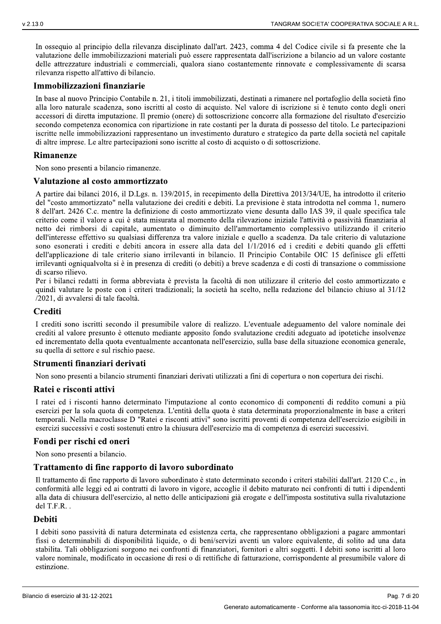In osseguio al principio della rilevanza disciplinato dall'art. 2423, comma 4 del Codice civile si fa presente che la valutazione delle immobilizzazioni materiali può essere rappresentata dall'iscrizione a bilancio ad un valore costante delle attrezzature industriali e commerciali, qualora siano costantemente rinnovate e complessivamente di scarsa rilevanza rispetto all'attivo di bilancio.

#### Immobilizzazioni finanziarie

In base al nuovo Principio Contabile n. 21, i titoli immobilizzati, destinati a rimanere nel portafoglio della società fino alla loro naturale scadenza, sono iscritti al costo di acquisto. Nel valore di iscrizione si è tenuto conto degli oneri accessori di diretta imputazione. Il premio (onere) di sottoscrizione concorre alla formazione del risultato d'esercizio secondo competenza economica con ripartizione in rate costanti per la durata di possesso del titolo. Le partecipazioni iscritte nelle immobilizzazioni rappresentano un investimento duraturo e strategico da parte della società nel capitale di altre imprese. Le altre partecipazioni sono iscritte al costo di acquisto o di sottoscrizione.

#### **Rimanenze**

Non sono presenti a bilancio rimanenze.

#### Valutazione al costo ammortizzato

A partire dai bilanci 2016, il D.Lgs. n. 139/2015, in recepimento della Direttiva 2013/34/UE, ha introdotto il criterio del "costo ammortizzato" nella valutazione dei crediti e debiti. La previsione è stata introdotta nel comma 1, numero 8 dell'art. 2426 C.c. mentre la definizione di costo ammortizzato viene desunta dallo IAS 39, il quale specifica tale criterio come il valore a cui è stata misurata al momento della rilevazione iniziale l'attività o passività finanziaria al netto dei rimborsi di capitale, aumentato o diminuito dell'ammortamento complessivo utilizzando il criterio dell'interesse effettivo su qualsiasi differenza tra valore iniziale e quello a scadenza. Da tale criterio di valutazione sono esonerati i crediti e debiti ancora in essere alla data del 1/1/2016 ed i crediti e debiti quando gli effetti dell'applicazione di tale criterio siano irrilevanti in bilancio. Il Principio Contabile OIC 15 definisce gli effetti irrilevanti ogniqualvolta si è in presenza di crediti (o debiti) a breve scadenza e di costi di transazione o commissione di scarso rilievo.

Per i bilanci redatti in forma abbreviata è prevista la facoltà di non utilizzare il criterio del costo ammortizzato e quindi valutare le poste con i criteri tradizionali; la società ha scelto, nella redazione del bilancio chiuso al 31/12 /2021, di avvalersi di tale facoltà.

#### **Crediti**

I crediti sono iscritti secondo il presumibile valore di realizzo. L'eventuale adeguamento del valore nominale dei crediti al valore presunto è ottenuto mediante apposito fondo svalutazione crediti adeguato ad ipotetiche insolvenze ed incrementato della quota eventualmente accantonata nell'esercizio, sulla base della situazione economica generale, su quella di settore e sul rischio paese.

#### Strumenti finanziari derivati

Non sono presenti a bilancio strumenti finanziari derivati utilizzati a fini di copertura o non copertura dei rischi.

#### Ratei e risconti attivi

I ratei ed i risconti hanno determinato l'imputazione al conto economico di componenti di reddito comuni a più esercizi per la sola quota di competenza. L'entità della quota è stata determinata proporzionalmente in base a criteri temporali. Nella macroclasse D "Ratei e risconti attivi" sono iscritti proventi di competenza dell'esercizio esigibili in esercizi successivi e costi sostenuti entro la chiusura dell'esercizio ma di competenza di esercizi successivi.

#### Fondi per rischi ed oneri

Non sono presenti a bilancio.

#### Trattamento di fine rapporto di lavoro subordinato

Il trattamento di fine rapporto di lavoro subordinato è stato determinato secondo i criteri stabiliti dall'art. 2120 C.c., in conformità alle leggi ed ai contratti di lavoro in vigore, accoglie il debito maturato nei confronti di tutti i dipendenti alla data di chiusura dell'esercizio, al netto delle anticipazioni già erogate e dell'imposta sostitutiva sulla rivalutazione del T.F.R.

#### **Debiti**

I debiti sono passività di natura determinata ed esistenza certa, che rappresentano obbligazioni a pagare ammontari fissi o determinabili di disponibilità liquide, o di beni/servizi aventi un valore equivalente, di solito ad una data stabilita. Tali obbligazioni sorgono nei confronti di finanziatori, fornitori e altri soggetti. I debiti sono iscritti al loro valore nominale, modificato in occasione di resi o di rettifiche di fatturazione, corrispondente al presumibile valore di estinzione.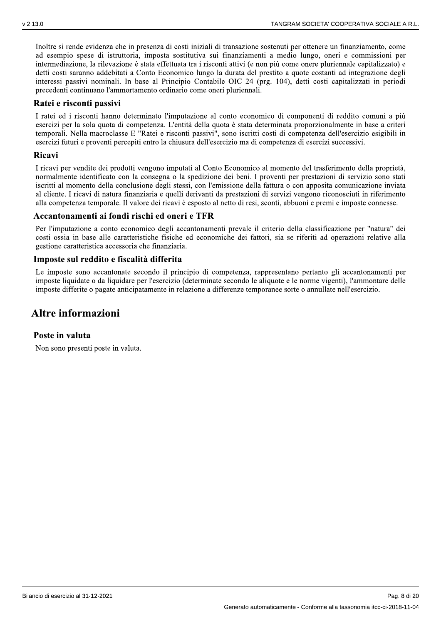Inoltre si rende evidenza che in presenza di costi iniziali di transazione sostenuti per ottenere un finanziamento, come ad esempio spese di istruttoria, imposta sostitutiva sui finanziamenti a medio lungo, oneri e commissioni per intermediazione, la rilevazione è stata effettuata tra i risconti attivi (e non più come onere pluriennale capitalizzato) e detti costi saranno addebitati a Conto Economico lungo la durata del prestito a quote costanti ad integrazione degli interessi passivi nominali. In base al Principio Contabile OIC 24 (prg. 104), detti costi capitalizzati in periodi precedenti continuano l'ammortamento ordinario come oneri pluriennali.

#### Ratei e risconti passivi

I ratei ed i risconti hanno determinato l'imputazione al conto economico di componenti di reddito comuni a più esercizi per la sola quota di competenza. L'entità della quota è stata determinata proporzionalmente in base a criteri temporali. Nella macroclasse E "Ratei e risconti passivi", sono iscritti costi di competenza dell'esercizio esigibili in esercizi futuri e proventi percepiti entro la chiusura dell'esercizio ma di competenza di esercizi successivi.

#### Ricavi

I ricavi per vendite dei prodotti vengono imputati al Conto Economico al momento del trasferimento della proprietà, normalmente identificato con la consegna o la spedizione dei beni. I proventi per prestazioni di servizio sono stati iscritti al momento della conclusione degli stessi, con l'emissione della fattura o con apposita comunicazione inviata al cliente. I ricavi di natura finanziaria e quelli derivanti da prestazioni di servizi vengono riconosciuti in riferimento alla competenza temporale. Il valore dei ricavi è esposto al netto di resi, sconti, abbuoni e premi e imposte connesse.

### Accantonamenti ai fondi rischi ed oneri e TFR

Per l'imputazione a conto economico degli accantonamenti prevale il criterio della classificazione per "natura" dei costi ossia in base alle caratteristiche fisiche ed economiche dei fattori, sia se riferiti ad operazioni relative alla gestione caratteristica accessoria che finanziaria.

### Imposte sul reddito e fiscalità differita

Le imposte sono accantonate secondo il principio di competenza, rappresentano pertanto gli accantonamenti per imposte liquidate o da liquidare per l'esercizio (determinate secondo le aliquote e le norme vigenti). l'ammontare delle imposte differite o pagate anticipatamente in relazione a differenze temporanee sorte o annullate nell'esercizio.

### Altre informazioni

#### Poste in valuta

Non sono presenti poste in valuta.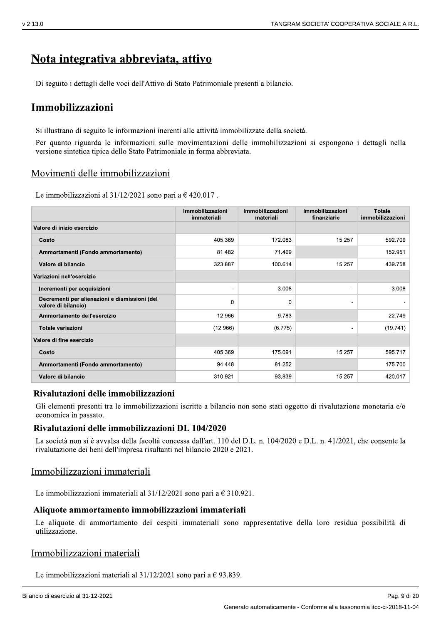## Nota integrativa abbreviata, attivo

Di seguito i dettagli delle voci dell'Attivo di Stato Patrimoniale presenti a bilancio.

### Immobilizzazioni

Si illustrano di seguito le informazioni inerenti alle attività immobilizzate della società.

Per quanto riguarda le informazioni sulle movimentazioni delle immobilizzazioni si espongono i dettagli nella versione sintetica tipica dello Stato Patrimoniale in forma abbreviata.

### Movimenti delle immobilizzazioni

Le immobilizzazioni al  $31/12/2021$  sono pari a  $\epsilon$  420.017.

|                                                                      | Immobilizzazioni<br>immateriali | Immobilizzazioni<br>materiali | Immobilizzazioni<br>finanziarie | <b>Totale</b><br>immobilizzazioni |
|----------------------------------------------------------------------|---------------------------------|-------------------------------|---------------------------------|-----------------------------------|
| Valore di inizio esercizio                                           |                                 |                               |                                 |                                   |
| Costo                                                                | 405.369                         | 172.083                       | 15.257                          | 592.709                           |
| Ammortamenti (Fondo ammortamento)                                    | 81.482                          | 71.469                        |                                 | 152.951                           |
| Valore di bilancio                                                   | 323.887                         | 100.614                       | 15.257                          | 439.758                           |
| Variazioni nell'esercizio                                            |                                 |                               |                                 |                                   |
| Incrementi per acquisizioni                                          | -                               | 3.008                         | $\overline{\phantom{a}}$        | 3.008                             |
| Decrementi per alienazioni e dismissioni (del<br>valore di bilancio) | $\Omega$                        | 0                             | $\overline{a}$                  |                                   |
| Ammortamento dell'esercizio                                          | 12.966                          | 9.783                         |                                 | 22.749                            |
| <b>Totale variazioni</b>                                             | (12.966)                        | (6.775)                       | $\overline{\phantom{a}}$        | (19.741)                          |
| Valore di fine esercizio                                             |                                 |                               |                                 |                                   |
| Costo                                                                | 405.369                         | 175.091                       | 15.257                          | 595.717                           |
| Ammortamenti (Fondo ammortamento)                                    | 94.448                          | 81.252                        |                                 | 175.700                           |
| Valore di bilancio                                                   | 310.921                         | 93.839                        | 15.257                          | 420.017                           |

#### Rivalutazioni delle immobilizzazioni

Gli elementi presenti tra le immobilizzazioni iscritte a bilancio non sono stati oggetto di rivalutazione monetaria e/o economica in passato.

#### Rivalutazioni delle immobilizzazioni DL 104/2020

La società non si è avvalsa della facoltà concessa dall'art. 110 del D.L. n. 104/2020 e D.L. n. 41/2021, che consente la rivalutazione dei beni dell'impresa risultanti nel bilancio 2020 e 2021.

### Immobilizzazioni immateriali

Le immobilizzazioni immateriali al  $31/12/2021$  sono pari a  $\in$  310.921.

#### Aliquote ammortamento immobilizzazioni immateriali

Le aliquote di ammortamento dei cespiti immateriali sono rappresentative della loro residua possibilità di utilizzazione.

### Immobilizzazioni materiali

Le immobilizzazioni materiali al  $31/12/2021$  sono pari a  $\epsilon$  93.839.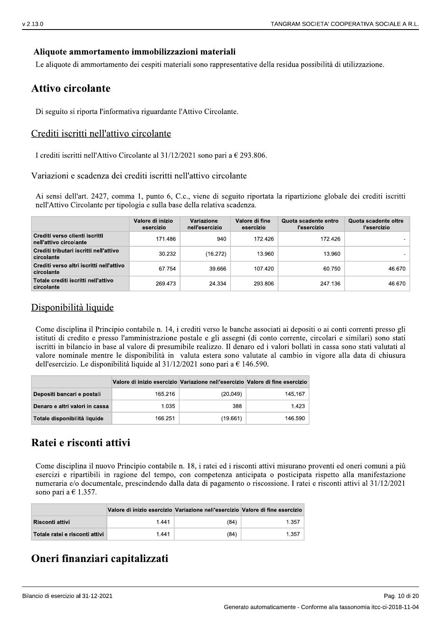### Aliquote ammortamento immobilizzazioni materiali

Le aliquote di ammortamento dei cespiti materiali sono rappresentative della residua possibilità di utilizzazione.

### **Attivo circolante**

Di seguito si riporta l'informativa riguardante l'Attivo Circolante.

### Crediti iscritti nell'attivo circolante

I crediti iscritti nell'Attivo Circolante al 31/12/2021 sono pari a  $\epsilon$  293.806.

Variazioni e scadenza dei crediti iscritti nell'attivo circolante

Ai sensi dell'art. 2427, comma 1, punto 6, C.c., viene di seguito riportata la ripartizione globale dei crediti iscritti nell'Attivo Circolante per tipologia e sulla base della relativa scadenza.

|                                                          | Valore di inizio<br>esercizio | Variazione<br>nell'esercizio | Valore di fine<br>esercizio | Quota scadente entro<br>l'esercizio | Quota scadente oltre<br>l'esercizio |
|----------------------------------------------------------|-------------------------------|------------------------------|-----------------------------|-------------------------------------|-------------------------------------|
| Crediti verso clienti iscritti<br>nell'attivo circolante | 171.486                       | 940                          | 172.426                     | 172.426                             |                                     |
| Crediti tributari iscritti nell'attivo<br>circolante     | 30.232                        | (16.272)                     | 13.960                      | 13.960                              |                                     |
| Crediti verso altri iscritti nell'attivo<br>circolante   | 67.754                        | 39.666                       | 107.420                     | 60.750                              | 46.670                              |
| Totale crediti iscritti nell'attivo<br>circolante        | 269.473                       | 24.334                       | 293.806                     | 247.136                             | 46.670                              |

### Disponibilità liquide

Come disciplina il Principio contabile n. 14, i crediti verso le banche associati ai depositi o ai conti correnti presso gli istituti di credito e presso l'amministrazione postale e gli assegni (di conto corrente, circolari e similari) sono stati iscritti in bilancio in base al valore di presumibile realizzo. Il denaro ed i valori bollati in cassa sono stati valutati al valore nominale mentre le disponibilità in valuta estera sono valutate al cambio in vigore alla data di chiusura dell'esercizio. Le disponibilità liquide al  $31/12/2021$  sono pari a  $\in$  146.590.

|                                | Valore di inizio esercizio Variazione nell'esercizio Valore di fine esercizio |          |         |
|--------------------------------|-------------------------------------------------------------------------------|----------|---------|
| Depositi bancari e postali     | 165.216                                                                       | (20.049) | 145.167 |
| Denaro e altri valori in cassa | 1.035                                                                         | 388      | 1.423   |
| Totale disponibilità liquide   | 166.251                                                                       | (19.661) | 146.590 |

# Ratei e risconti attivi

Come disciplina il nuovo Principio contabile n. 18, i ratei ed i risconti attivi misurano proventi ed oneri comuni a più esercizi e ripartibili in ragione del tempo, con competenza anticipata o posticipata rispetto alla manifestazione numeraria e/o documentale, prescindendo dalla data di pagamento o riscossione. I ratei e risconti attivi al 31/12/2021 sono pari a  $\in$  1.357.

|                                | Valore di inizio esercizio Variazione nell'esercizio Valore di fine esercizio |      |       |
|--------------------------------|-------------------------------------------------------------------------------|------|-------|
| Risconti attivi                | 1.441                                                                         | (84) | 1.357 |
| Totale ratei e risconti attivi | 1.441                                                                         | (84) | 1.357 |

# Oneri finanziari capitalizzati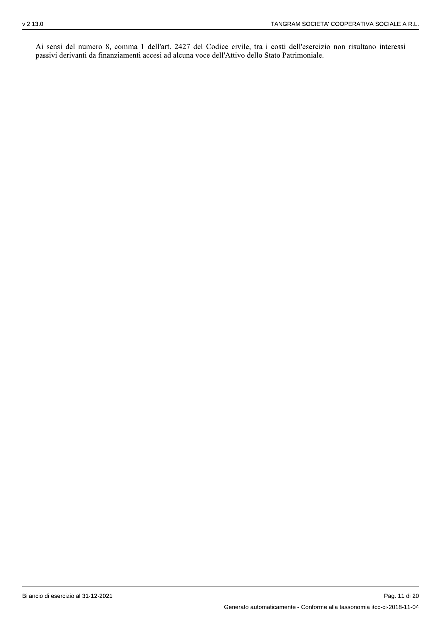Ai sensi del numero 8, comma 1 dell'art. 2427 del Codice civile, tra i costi dell'esercizio non risultano interessi passivi derivanti da finanziamenti accesi ad alcuna voce dell'Attivo dello Stato Patrimoniale.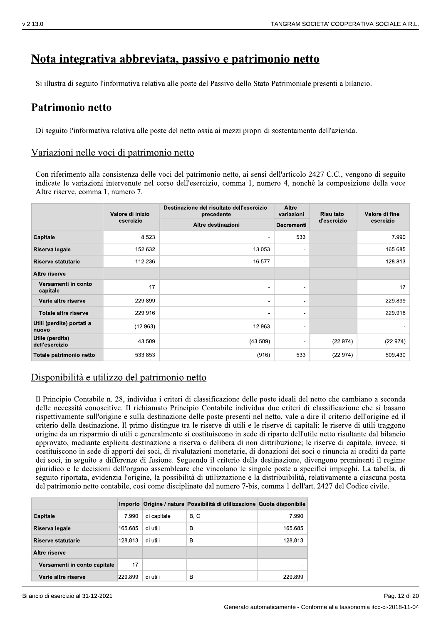# <u>Nota integrativa abbreviata, passivo e patrimonio netto</u>

# rimonio netto

Di seguito l'informativa relativa alle poste del netto ossia ai mezzi propri di sostentamento dell'azienda.

### Variazioni nelle voci di patrimonio netto

 $\frac{1}{24.13.0}$  **Nota integrativa abbreviata, passivo e patrimonio netto**<br>
Si illustra di seguito l'informativa relativa alle poste del Passivo dello Stato Patrimoniale presenti a bilancio.<br> **Patrimonio netto**<br>
Di seguito Con riferimento alla consistenza delle voci del patrimonio netto, ai sensi dell'articolo 2427 C.C., vengono di seguito indicate le variazioni intervenute nel corso dell'esercizio, comma 1, numero 4, nonchè la composizione della voce Altre riserve, comma 1, numero 7.

|                                    | Valore di inizio | Destinazione del risultato dell'esercizio<br>precedente | Altre<br><b>Risultato</b><br>variazioni | Valore di fine |           |
|------------------------------------|------------------|---------------------------------------------------------|-----------------------------------------|----------------|-----------|
|                                    | esercizio        | Altre destinazioni                                      | <b>Decrementi</b>                       | d'esercizio    | esercizio |
| Capitale                           | 8.523            | $\blacksquare$                                          | 533                                     |                | 7.990     |
| Riserva legale                     | 152.632          | 13.053                                                  | $\blacksquare$                          |                | 165.685   |
| <b>Riserve statutarie</b>          | 112.236          | 16.577                                                  | ۰                                       |                | 128.813   |
| Altre riserve                      |                  |                                                         |                                         |                |           |
| Versamenti in conto<br>capitale    | 17               | $\blacksquare$                                          | $\overline{\phantom{a}}$                |                | 17        |
| Varie altre riserve                | 229.899          | $\sim$                                                  | ۰                                       |                | 229.899   |
| Totale altre riserve               | 229.916          | ۰                                                       | $\blacksquare$                          |                | 229.916   |
| Utili (perdite) portati a<br>nuovo | (12.963)         | 12.963                                                  | $\overline{\phantom{a}}$                |                |           |
| Utile (perdita)<br>dell'esercizio  | 43.509           | (43.509)                                                | $\overline{\phantom{a}}$                | (22.974)       | (22.974)  |
| Totale patrimonio netto            | 533.853          | (916)                                                   | 533                                     | (22.974)       | 509.430   |

### Disponibilità e utilizzo del patrimonio netto

Il Principio Contabile n. 28, individua i criteri di classificazione delle poste ideali del netto che cambiano a seconda delle necessità conoscitive. Il richiamato Principio Contabile individua due criteri di classificazione che si basano rispettivamente sull'origine e sulla destinazione delle poste presenti nel netto, vale a dire il criterio dell'origine ed il criterio della destinazione. Il primo distingue tra le riserve di utili e le riserve di capitali: le riserve di utili traggono origine da un risparmio di utili e generalmente si costituiscono in sede di riparto dell'utile netto risultante dal bilancio approvato, mediante esplicita destinazione a riserva o delibera di non distribuzione; le riserve di capitale, invece, si costituiscono in sede di apporti dei soci, di rivalutazioni monetarie, di donazioni dei soci o rinuncia ai crediti da parte dei soci, in seguito a differenze di fusione. Seguendo il criterio della destinazione, divengono preminenti il regime giuridico e le decisioni dell'organo assembleare che vincolano le singole poste a specifici impieghi. La tabella, di seguito riportata, evidenzia l'origine, la possibilità di utilizzazione e la distribuibilità, relativamente a ciascuna posta del patrimonio netto contabile, così come disciplinato dal numero 7-bis, comma 1 dell'art. 2427 del Codice civile.

|                              |         |             | Importo Origine / natura Possibilità di utilizzazione Quota disponibile |         |
|------------------------------|---------|-------------|-------------------------------------------------------------------------|---------|
| Capitale                     | 7.990   | di capitale | B, C                                                                    | 7.990   |
| Riserva legale               | 165.685 | di utili    | в                                                                       | 165.685 |
| Riserve statutarie           | 128.813 | di utili    | в                                                                       | 128.813 |
| Altre riserve                |         |             |                                                                         |         |
| Versamenti in conto capitale | 17      |             |                                                                         |         |
| Varie altre riserve          | 229.899 | di utili    | в                                                                       | 229.899 |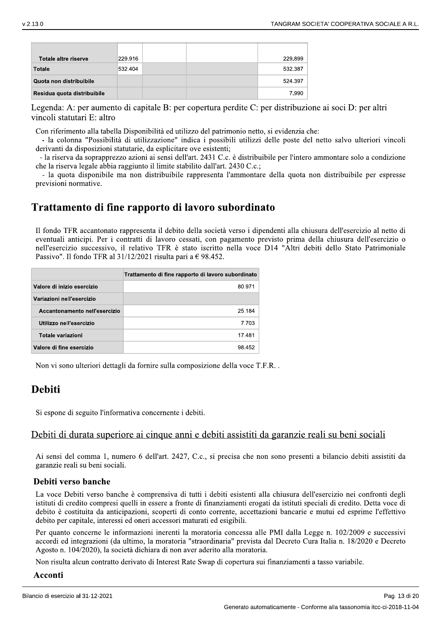| ۰.<br>۰. |
|----------|
|----------|

| Totale altre riserve        | 229.916 |  | 229.899 |
|-----------------------------|---------|--|---------|
| <b>Totale</b>               | 532.404 |  | 532.387 |
| Quota non distribuibile     |         |  | 524.397 |
| Residua quota distribuibile |         |  | 7.990   |

Legenda: A: per aumento di capitale B: per copertura perdite C: per distribuzione ai soci D: per altri vincoli statutari E: altro

Con riferimento alla tabella Disponibilità ed utilizzo del patrimonio netto, si evidenzia che:

- la colonna "Possibilità di utilizzazione" indica i possibili utilizzi delle poste del netto salvo ulteriori vincoli derivanti da disposizioni statutarie, da esplicitare ove esistenti;

- la riserva da soprapprezzo azioni ai sensi dell'art. 2431 C.c. è distribuibile per l'intero ammontare solo a condizione che la riserva legale abbia raggiunto il limite stabilito dall'art. 2430 C.c.;

- la quota disponibile ma non distribuibile rappresenta l'ammontare della quota non distribuibile per espresse previsioni normative.

## Trattamento di fine rapporto di lavoro subordinato

Il fondo TFR accantonato rappresenta il debito della società verso i dipendenti alla chiusura dell'esercizio al netto di eventuali anticipi. Per i contratti di lavoro cessati, con pagamento previsto prima della chiusura dell'esercizio o nell'esercizio successivo, il relativo TFR è stato iscritto nella voce D14 "Altri debiti dello Stato Patrimoniale Passivo". Il fondo TFR al  $31/12/2021$  risulta pari a  $\in$  98.452.

|                               | Trattamento di fine rapporto di lavoro subordinato |
|-------------------------------|----------------------------------------------------|
| Valore di inizio esercizio    | 80.971                                             |
| Variazioni nell'esercizio     |                                                    |
| Accantonamento nell'esercizio | 25.184                                             |
| Utilizzo nell'esercizio       | 7.703                                              |
| Totale variazioni             | 17.481                                             |
| Valore di fine esercizio      | 98.452                                             |

Non vi sono ulteriori dettagli da fornire sulla composizione della voce T.F.R..

# **Debiti**

Si espone di seguito l'informativa concernente i debiti.

### Debiti di durata superiore ai cinque anni e debiti assistiti da garanzie reali su beni sociali

Ai sensi del comma 1, numero 6 dell'art. 2427, C.c., si precisa che non sono presenti a bilancio debiti assistiti da garanzie reali su beni sociali.

### Debiti verso banche

La voce Debiti verso banche è comprensiva di tutti i debiti esistenti alla chiusura dell'esercizio nei confronti degli istituti di credito compresi quelli in essere a fronte di finanziamenti erogati da istituti speciali di credito. Detta voce di debito è costituita da anticipazioni, scoperti di conto corrente, accettazioni bancarie e mutui ed esprime l'effettivo debito per capitale, interessi ed oneri accessori maturati ed esigibili.

Per quanto concerne le informazioni inerenti la moratoria concessa alle PMI dalla Legge n. 102/2009 e successivi accordi ed integrazioni (da ultimo, la moratoria "straordinaria" prevista dal Decreto Cura Italia n. 18/2020 e Decreto Agosto n. 104/2020), la società dichiara di non aver aderito alla moratoria.

Non risulta alcun contratto derivato di Interest Rate Swap di copertura sui finanziamenti a tasso variabile.

#### Acconti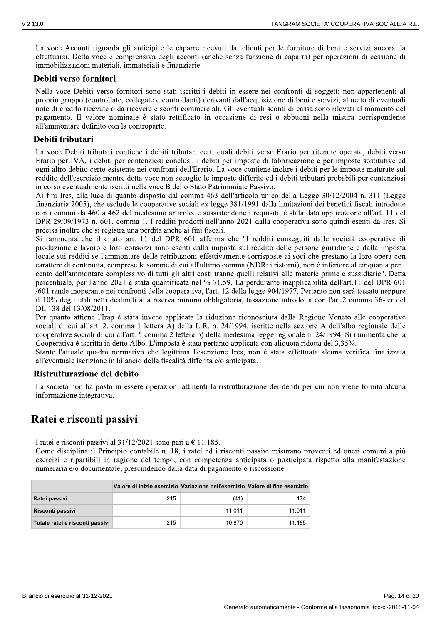La voce Acconti riguarda gli anticipi e le caparre ricevuti dai clienti per le forniture di beni e servizi ancora da effettuarsi. Detta voce è comprensiva degli acconti (anche senza funzione di caparra) per operazioni di cessione di immobilizzazioni materiali, immateriali e finanziarie.

#### Debiti verso fornitori

Nella voce Debiti verso fornitori sono stati iscritti i debiti in essere nei confronti di soggetti non appartenenti al proprio gruppo (controllate, collegate e controllanti) derivanti dall'acquisizione di beni e servizi, al netto di eventuali note di credito ricevute o da ricevere e sconti commerciali. Gli eventuali sconti di cassa sono rilevati al momento del pagamento. Il valore nominale è stato rettificato in occasione di resi o abbuoni nella misura corrispondente all'ammontare definito con la controparte.

### Debiti tributari

La voce Debiti tributari contiene i debiti tributari certi quali debiti verso Erario per ritenute operate, debiti verso Erario per IVA, i debiti per contenziosi conclusi, i debiti per imposte di fabbricazione e per imposte sostitutive ed ogni altro debito certo esistente nei confronti dell'Erario. La voce contiene inoltre i debiti per le imposte maturate sul reddito dell'esercizio mentre detta voce non accoglie le imposte differite ed i debiti tributari probabili per contenziosi in corso eventualmente iscritti nella voce B dello Stato Patrimoniale Passivo.

Ai fini Ires, alla luce di quanto disposto dal comma 463 dell'articolo unico della Legge 30/12/2004 n. 311 (Legge finanziaria 2005), che esclude le cooperative sociali ex legge 381/1991 dalla limitazioni dei benefici fiscali introdotte con i commi da 460 a 462 del medesimo articolo, e sussistendone i requisiti, è stata data applicazione all'art. 11 del DPR 29/09/1973 n. 601, comma 1. I redditi prodotti nell'anno 2021 dalla cooperativa sono quindi esenti da Ires. Si precisa inoltre che si registra una perdita anche ai fini fiscali.

Si rammenta che il citato art. 11 del DPR 601 afferma che "I redditi conseguiti dalle società cooperative di produzione e lavoro e loro consorzi sono esenti dalla imposta sul reddito delle persone giuridiche e dalla imposta locale sui redditi se l'ammontare delle retribuzioni effettivamente corrisposte ai soci che prestano la loro opera con carattere di continuità, comprese le somme di cui all'ultimo comma (NDR: i ristorni), non è inferiore al cinquanta per

cento dell'ammontare complessivo di tutti gli altri costi tranne quelli relativi alle materie prime e sussidiarie". Detta percentuale, per l'anno 2021 è stata quantificata nel % 71,59. La perdurante inapplicabilità dell'art.11 del DPR 601 /601 rende inoperante nei confronti della cooperativa, l'art. 12 della legge 904/1977. Pertanto non sarà tassato neppure il 10% degli utili netti destinati alla riserva minima obbligatoria, tassazione introdotta con l'art.2 comma 36-ter del DL 138 del 13/08/2011.

Per quanto attiene l'Irap è stata invece applicata la riduzione riconosciuta dalla Regione Veneto alle cooperative sociali di cui all'art. 2, comma 1 lettera A) della L.R. n. 24/1994, iscritte nella sezione A dell'albo regionale delle cooperative sociali di cui all'art. 5 comma 2 lettera b) della medesima legge regionale n. 24/1994. Si rammenta che la Cooperativa è iscritta in detto Albo. L'imposta è stata pertanto applicata con aliquota ridotta del 3,35%.

Stante l'attuale quadro normativo che legittima l'esenzione Ires, non è stata effettuata alcuna verifica finalizzata all'eventuale iscrizione in bilancio della fiscalità differita e/o anticipata.

### Ristrutturazione del debito

La società non ha posto in essere operazioni attinenti la ristrutturazione dei debiti per cui non viene fornita alcuna informazione integrativa.

### Ratei e risconti passivi

I ratei e risconti passivi al  $31/12/2021$  sono pari a  $\in$  11.185.

Come disciplina il Principio contabile n. 18, i ratei ed i risconti passivi misurano proventi ed oneri comuni a più esercizi e ripartibili in ragione del tempo, con competenza anticipata o posticipata rispetto alla manifestazione numeraria e/o documentale, prescindendo dalla data di pagamento o riscossione.

|                                 | Valore di inizio esercizio Variazione nell'esercizio Valore di fine esercizio |        |        |
|---------------------------------|-------------------------------------------------------------------------------|--------|--------|
| Ratei passivi                   | 215                                                                           | (41)   | 174    |
| Risconti passivi                | ۰                                                                             | 11.011 | 11.011 |
| Totale ratei e risconti passivi | 215                                                                           | 10.970 | 11.185 |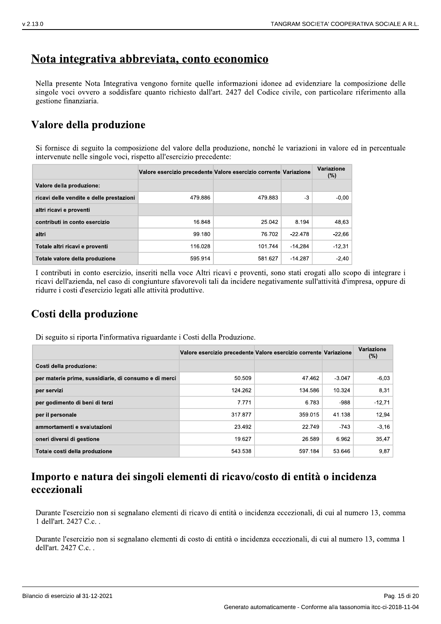## Nota integrativa abbreviata, conto economico

Nella presente Nota Integrativa vengono fornite quelle informazioni idonee ad evidenziare la composizione delle singole voci ovvero a soddisfare quanto richiesto dall'art. 2427 del Codice civile, con particolare riferimento alla gestione finanziaria.

# Valore della produzione

Si fornisce di seguito la composizione del valore della produzione, nonché le variazioni in valore ed in percentuale intervenute nelle singole voci, rispetto all'esercizio precedente:

|                                          | Valore esercizio precedente Valore esercizio corrente Variazione |         |           | Variazione<br>(%) |
|------------------------------------------|------------------------------------------------------------------|---------|-----------|-------------------|
| Valore della produzione:                 |                                                                  |         |           |                   |
| ricavi delle vendite e delle prestazioni | 479.886                                                          | 479.883 | -3        | $-0.00$           |
| altri ricavi e proventi                  |                                                                  |         |           |                   |
| contributi in conto esercizio            | 16.848                                                           | 25.042  | 8.194     | 48.63             |
| altri                                    | 99.180                                                           | 76.702  | $-22.478$ | $-22.66$          |
| Totale altri ricavi e proventi           | 116.028                                                          | 101.744 | $-14.284$ | $-12.31$          |
| Totale valore della produzione           | 595.914                                                          | 581.627 | $-14.287$ | $-2,40$           |

I contributi in conto esercizio, inseriti nella voce Altri ricavi e proventi, sono stati erogati allo scopo di integrare i ricavi dell'azienda, nel caso di congiunture sfavorevoli tali da incidere negativamente sull'attività d'impresa, oppure di ridurre i costi d'esercizio legati alle attività produttive.

# Costi della produzione

Di seguito si riporta l'informativa riguardante i Costi della Produzione.

|                                                       | Valore esercizio precedente Valore esercizio corrente Variazione |         |          | Variazione<br>(%) |
|-------------------------------------------------------|------------------------------------------------------------------|---------|----------|-------------------|
| Costi della produzione:                               |                                                                  |         |          |                   |
| per materie prime, sussidiarie, di consumo e di merci | 50.509                                                           | 47.462  | $-3.047$ | $-6.03$           |
| per servizi                                           | 124.262                                                          | 134.586 | 10.324   | 8,31              |
| per godimento di beni di terzi                        | 7.771                                                            | 6.783   | $-988$   | $-12.71$          |
| per il personale                                      | 317.877                                                          | 359.015 | 41.138   | 12,94             |
| ammortamenti e svalutazioni                           | 23.492                                                           | 22.749  | -743     | $-3,16$           |
| oneri diversi di gestione                             | 19.627                                                           | 26.589  | 6.962    | 35,47             |
| Totale costi della produzione                         | 543.538                                                          | 597.184 | 53.646   | 9,87              |

## Importo e natura dei singoli elementi di ricavo/costo di entità o incidenza eccezionali

Durante l'esercizio non si segnalano elementi di ricavo di entità o incidenza eccezionali, di cui al numero 13, comma 1 dell'art. 2427 C.c..

Durante l'esercizio non si segnalano elementi di costo di entità o incidenza eccezionali, di cui al numero 13, comma 1 dell'art. 2427 C.c..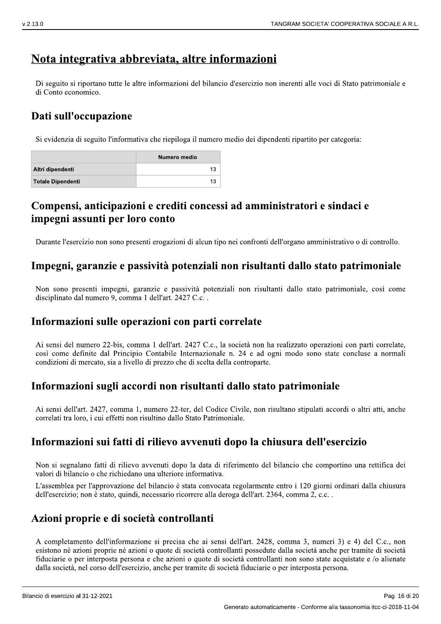# Nota integrativa abbreviata, altre informazioni

Di seguito si riportano tutte le altre informazioni del bilancio d'esercizio non inerenti alle voci di Stato patrimoniale e di Conto economico.

## Dati sull'occupazione

Si evidenzia di seguito l'informativa che riepiloga il numero medio dei dipendenti ripartito per categoria:

|                          | Numero medio |
|--------------------------|--------------|
| Altri dipendenti         | 13           |
| <b>Totale Dipendenti</b> | 13           |

## Compensi, anticipazioni e crediti concessi ad amministratori e sindaci e impegni assunti per loro conto

Durante l'esercizio non sono presenti erogazioni di alcun tipo nei confronti dell'organo amministrativo o di controllo.

### Impegni, garanzie e passività potenziali non risultanti dallo stato patrimoniale

Non sono presenti impegni, garanzie e passività potenziali non risultanti dallo stato patrimoniale, così come disciplinato dal numero 9, comma 1 dell'art. 2427 C.c..

### Informazioni sulle operazioni con parti correlate

Ai sensi del numero 22-bis, comma 1 dell'art. 2427 C.c., la società non ha realizzato operazioni con parti correlate, così come definite dal Principio Contabile Internazionale n. 24 e ad ogni modo sono state concluse a normali condizioni di mercato, sia a livello di prezzo che di scelta della controparte.

### Informazioni sugli accordi non risultanti dallo stato patrimoniale

Ai sensi dell'art. 2427, comma 1, numero 22-ter, del Codice Civile, non risultano stipulati accordi o altri atti, anche correlati tra loro, i cui effetti non risultino dallo Stato Patrimoniale.

### Informazioni sui fatti di rilievo avvenuti dopo la chiusura dell'esercizio

Non si segnalano fatti di rilievo avvenuti dopo la data di riferimento del bilancio che comportino una rettifica dei valori di bilancio o che richiedano una ulteriore informativa.

L'assemblea per l'approvazione del bilancio è stata convocata regolarmente entro i 120 giorni ordinari dalla chiusura dell'esercizio; non è stato, quindi, necessario ricorrere alla deroga dell'art. 2364, comma 2, c.c..

### Azioni proprie e di società controllanti

A completamento dell'informazione si precisa che ai sensi dell'art. 2428, comma 3, numeri 3) e 4) del C.c., non esistono nè azioni proprie nè azioni o quote di società controllanti possedute dalla società anche per tramite di società fiduciarie o per interposta persona e che azioni o quote di società controllanti non sono state acquistate e /o alienate dalla società, nel corso dell'esercizio, anche per tramite di società fiduciarie o per interposta persona.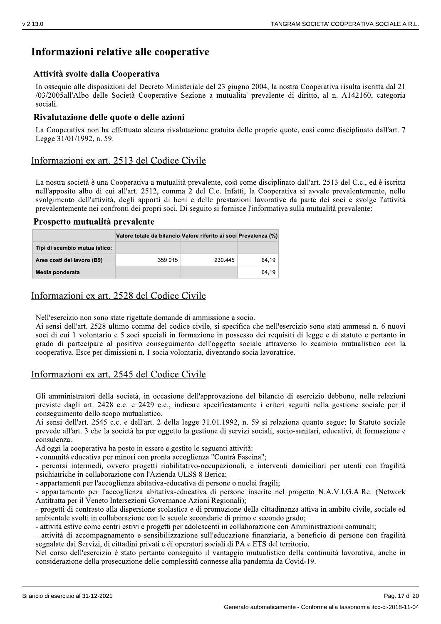## Informazioni relative alle cooperative

### Attività svolte dalla Cooperativa

In ossequio alle disposizioni del Decreto Ministeriale del 23 giugno 2004, la nostra Cooperativa risulta iscritta dal 21 /03/2005all'Albo delle Società Cooperative Sezione a mutualita' prevalente di diritto, al n. A142160, categoria sociali.

### Rivalutazione delle quote o delle azioni

La Cooperativa non ha effettuato alcuna rivalutazione gratuita delle proprie quote, così come disciplinato dall'art. 7 Legge 31/01/1992, n. 59.

### Informazioni ex art. 2513 del Codice Civile

La nostra società è una Cooperativa a mutualità prevalente, così come disciplinato dall'art. 2513 del C.c., ed è iscritta nell'apposito albo di cui all'art. 2512, comma 2 del C.c. Infatti, la Cooperativa si avvale prevalentemente, nello svolgimento dell'attività, degli apporti di beni e delle prestazioni lavorative da parte dei soci e svolge l'attività prevalentemente nei confronti dei propri soci. Di seguito si fornisce l'informativa sulla mutualità prevalente:

#### Prospetto mutualità prevalente

|                               | Valore totale da bilancio Valore riferito ai soci Prevalenza (%) |         |       |
|-------------------------------|------------------------------------------------------------------|---------|-------|
| Tipi di scambio mutualistico: |                                                                  |         |       |
| Area costi del lavoro (B9)    | 359.015                                                          | 230.445 | 64.19 |
| Media ponderata               |                                                                  |         | 64.19 |

### Informazioni ex art. 2528 del Codice Civile

Nell'esercizio non sono state rigettate domande di ammissione a socio.

Ai sensi dell'art. 2528 ultimo comma del codice civile, si specifica che nell'esercizio sono stati ammessi n. 6 nuovi soci di cui 1 volontario e 5 soci speciali in formazione in possesso dei requisiti di legge e di statuto e pertanto in grado di partecipare al positivo conseguimento dell'oggetto sociale attraverso lo scambio mutualistico con la cooperativa. Esce per dimissioni n. 1 socia volontaria, diventando socia lavoratrice.

### Informazioni ex art. 2545 del Codice Civile

Gli amministratori della società, in occasione dell'approvazione del bilancio di esercizio debbono, nelle relazioni previste dagli art. 2428 c.c. e 2429 c.c., indicare specificatamente i criteri seguiti nella gestione sociale per il conseguimento dello scopo mutualistico.

Ai sensi dell'art. 2545 c.c. e dell'art. 2 della legge 31.01.1992, n. 59 si relaziona quanto segue: lo Statuto sociale prevede all'art. 3 che la società ha per oggetto la gestione di servizi sociali, socio-sanitari, educativi, di formazione e consulenza.

Ad oggi la cooperativa ha posto in essere e gestito le seguenti attività:

- comunità educativa per minori con pronta accoglienza "Contrà Fascina";

- percorsi intermedi, ovvero progetti riabilitativo-occupazionali, e interventi domiciliari per utenti con fragilità psichiatriche in collaborazione con l'Azienda ULSS 8 Berica;

- appartamenti per l'accoglienza abitativa-educativa di persone o nuclei fragili;

- appartamento per l'accoglienza abitativa-educativa di persone inserite nel progetto N.A.V.I.G.A.Re. (Network Antitratta per il Veneto Intersezioni Governance Azioni Regionali);

- progetti di contrasto alla dispersione scolastica e di promozione della cittadinanza attiva in ambito civile, sociale ed ambientale svolti in collaborazione con le scuole secondarie di primo e secondo grado:

- attività estive come centri estivi e progetti per adolescenti in collaborazione con Amministrazioni comunali;

- attività di accompagnamento e sensibilizzazione sull'educazione finanziaria, a beneficio di persone con fragilità segnalate dai Servizi, di cittadini privati e di operatori sociali di PA e ETS del territorio.

Nel corso dell'esercizio è stato pertanto conseguito il vantaggio mutualistico della continuità lavorativa, anche in considerazione della prosecuzione delle complessità connesse alla pandemia da Covid-19.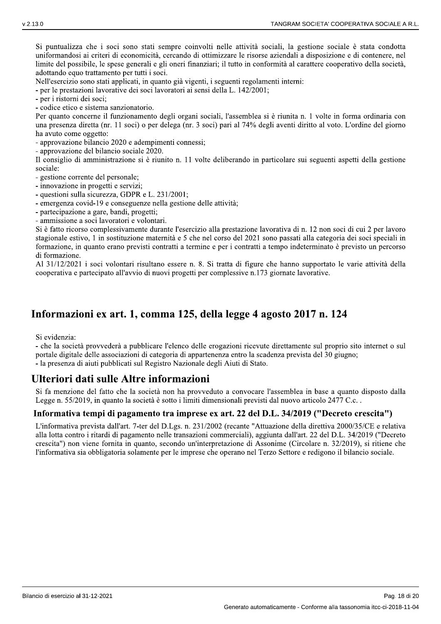Si puntualizza che i soci sono stati sempre coinvolti nelle attività sociali, la gestione sociale è stata condotta uniformandosi ai criteri di economicità, cercando di ottimizzare le risorse aziendali a disposizione e di contenere, nel limite del possibile, le spese generali e gli oneri finanziari; il tutto in conformità al carattere cooperativo della società, adottando equo trattamento per tutti i soci.

Nell'esercizio sono stati applicati, in quanto già vigenti, i seguenti regolamenti interni:

- per le prestazioni lavorative dei soci lavoratori ai sensi della L. 142/2001;

- per i ristorni dei soci:

- codice etico e sistema sanzionatorio.

Per quanto concerne il funzionamento degli organi sociali, l'assemblea si è riunita n. 1 volte in forma ordinaria con una presenza diretta (nr. 11 soci) o per delega (nr. 3 soci) pari al 74% degli aventi diritto al voto. L'ordine del giorno ha avuto come oggetto:

- approvazione bilancio 2020 e adempimenti connessi;

- approvazione del bilancio sociale 2020.

Il consiglio di amministrazione si è riunito n. 11 volte deliberando in particolare sui seguenti aspetti della gestione sociale:

- gestione corrente del personale;

- innovazione in progetti e servizi;

- questioni sulla sicurezza, GDPR e L. 231/2001;

- emergenza covid-19 e conseguenze nella gestione delle attività;

- partecipazione a gare, bandi, progetti;

- ammissione a soci lavoratori e volontari.

Si è fatto ricorso complessivamente durante l'esercizio alla prestazione lavorativa di n. 12 non soci di cui 2 per lavoro stagionale estivo, 1 in sostituzione maternità e 5 che nel corso del 2021 sono passati alla categoria dei soci speciali in formazione, in quanto erano previsti contratti a termine e per i contratti a tempo indeterminato è previsto un percorso di formazione.

Al 31/12/2021 i soci volontari risultano essere n. 8. Si tratta di figure che hanno supportato le varie attività della cooperativa e partecipato all'avvio di nuovi progetti per complessive n.173 giornate lavorative.

# Informazioni ex art. 1, comma 125, della legge 4 agosto 2017 n. 124

Si evidenzia:

- che la società provvederà a pubblicare l'elenco delle erogazioni ricevute direttamente sul proprio sito internet o sul portale digitale delle associazioni di categoria di appartenenza entro la scadenza prevista del 30 giugno; - la presenza di aiuti pubblicati sul Registro Nazionale degli Aiuti di Stato.

### Ulteriori dati sulle Altre informazioni

Si fa menzione del fatto che la società non ha provveduto a convocare l'assemblea in base a quanto disposto dalla Legge n. 55/2019, in quanto la società è sotto i limiti dimensionali previsti dal nuovo articolo 2477 C.c..

### Informativa tempi di pagamento tra imprese ex art. 22 del D.L. 34/2019 ("Decreto crescita")

L'informativa prevista dall'art. 7-ter del D.Lgs. n. 231/2002 (recante "Attuazione della direttiva 2000/35/CE e relativa alla lotta contro i ritardi di pagamento nelle transazioni commerciali), aggiunta dall'art. 22 del D.L. 34/2019 ("Decreto crescita") non viene fornita in quanto, secondo un'interpretazione di Assonime (Circolare n. 32/2019), si ritiene che l'informativa sia obbligatoria solamente per le imprese che operano nel Terzo Settore e redigono il bilancio sociale.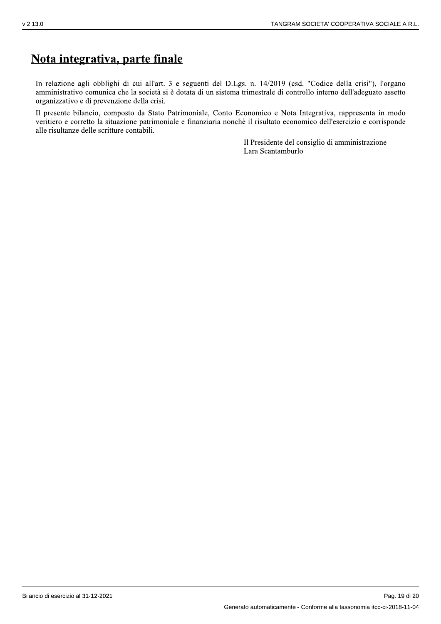# Nota integrativa, parte finale

In relazione agli obblighi di cui all'art. 3 e seguenti del D.Lgs. n. 14/2019 (csd. "Codice della crisi"), l'organo amministrativo comunica che la società si è dotata di un sistema trimestrale di controllo interno dell'adeguato assetto organizzativo e di prevenzione della crisi.

Il presente bilancio, composto da Stato Patrimoniale, Conto Economico e Nota Integrativa, rappresenta in modo veritiero e corretto la situazione patrimoniale e finanziaria nonchè il risultato economico dell'esercizio e corrisponde alle risultanze delle scritture contabili.

> Il Presidente del consiglio di amministrazione Lara Scantamburlo